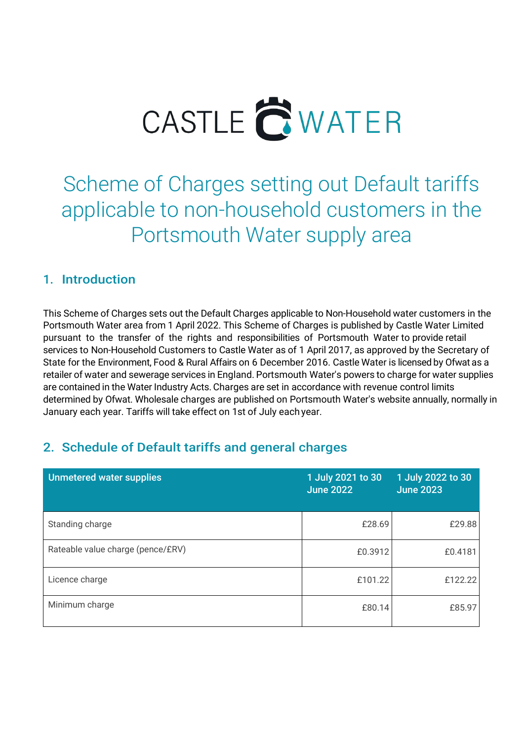

Scheme of Charges setting out Default tariffs applicable to non-household customers in the Portsmouth Water supply area

#### 1. Introduction

This Scheme of Charges sets out the Default Charges applicable to Non-Household water customers in the Portsmouth Water area from 1 April 2022. This Scheme of Charges is published by Castle Water Limited pursuant to the transfer of the rights and responsibilities of Portsmouth Water to provide retail services to Non-Household Customers to Castle Water as of 1 April 2017, as approved by the Secretary of State for the Environment, Food & Rural Affairs on 6 December 2016. Castle Water is licensed by Ofwat as a retailer of water and sewerage services in England. Portsmouth Water's powers to charge for water supplies are contained in the Water Industry Acts. Charges are set in accordance with revenue control limits determined by Ofwat. Wholesale charges are published on Portsmouth Water's website annually, normally in January each year. Tariffs will take effect on 1st of July each year.

## 2. Schedule of Default tariffs and general charges

| <b>Unmetered water supplies</b>   | 1 July 2021 to 30<br><b>June 2022</b> | 1 July 2022 to 30<br><b>June 2023</b> |
|-----------------------------------|---------------------------------------|---------------------------------------|
| Standing charge                   | £28.69                                | £29.88                                |
| Rateable value charge (pence/£RV) | £0.3912                               | £0.4181                               |
| Licence charge                    | £101.22                               | £122.22                               |
| Minimum charge                    | £80.14                                | £85.97                                |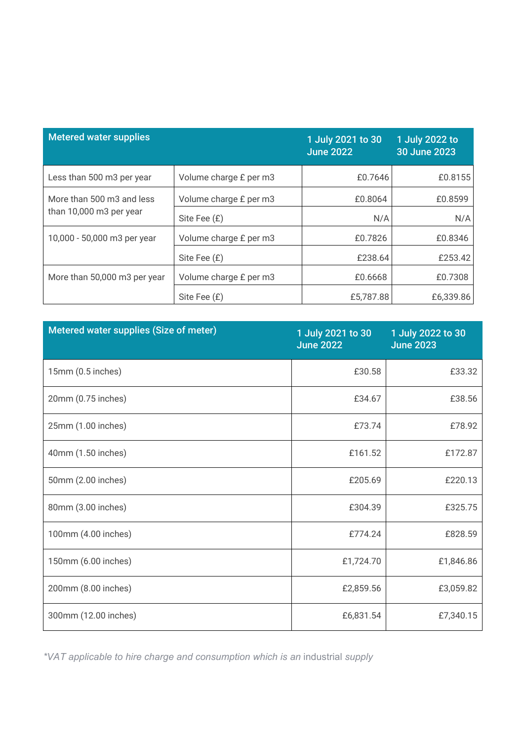| <b>Metered water supplies</b> |                        | 1 July 2021 to 30<br><b>June 2022</b> | 1 July 2022 to<br>30 June 2023 |
|-------------------------------|------------------------|---------------------------------------|--------------------------------|
| Less than 500 m3 per year     | Volume charge £ per m3 | £0.7646                               | £0.8155                        |
| More than 500 m3 and less     | Volume charge £ per m3 | £0.8064                               | £0.8599                        |
| than 10,000 m3 per year       | Site Fee (£)           | N/A                                   | N/A                            |
| 10,000 - 50,000 m3 per year   | Volume charge £ per m3 | £0.7826                               | £0.8346                        |
|                               | Site Fee (£)           | £238.64                               | £253.42                        |
| More than 50,000 m3 per year  | Volume charge £ per m3 | £0.6668                               | £0.7308                        |
|                               | Site Fee (£)           | £5,787.88                             | £6,339.86                      |

| Metered water supplies (Size of meter) | 1 July 2021 to 30<br><b>June 2022</b> | 1 July 2022 to 30<br><b>June 2023</b> |
|----------------------------------------|---------------------------------------|---------------------------------------|
| 15mm (0.5 inches)                      | £30.58                                | £33.32                                |
| 20mm (0.75 inches)                     | £34.67                                | £38.56                                |
| 25mm (1.00 inches)                     | £73.74                                | £78.92                                |
| 40mm (1.50 inches)                     | £161.52                               | £172.87                               |
| 50mm (2.00 inches)                     | £205.69                               | £220.13                               |
| 80mm (3.00 inches)                     | £304.39                               | £325.75                               |
| 100mm (4.00 inches)                    | £774.24                               | £828.59                               |
| 150mm (6.00 inches)                    | £1,724.70                             | £1,846.86                             |
| 200mm (8.00 inches)                    | £2,859.56                             | £3,059.82                             |
| 300mm (12.00 inches)                   | £6,831.54                             | £7,340.15                             |

*\*VAT applicable to hire charge and consumption which is an* industrial *supply*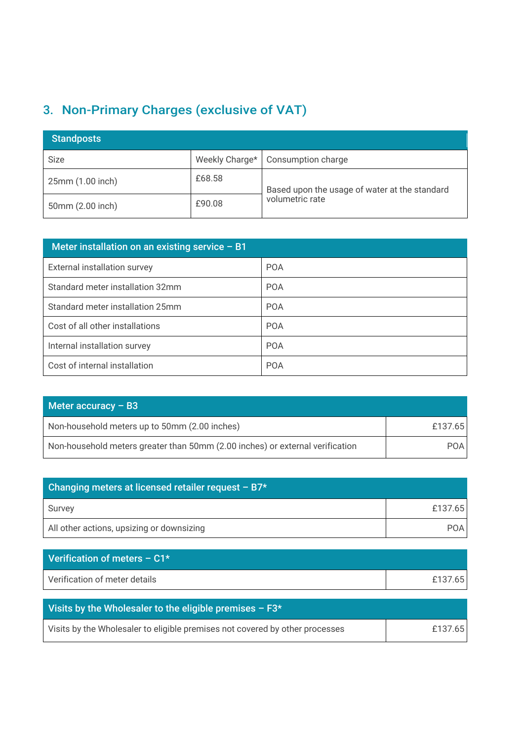# 3. Non-Primary Charges (exclusive of VAT)

| <b>Standposts</b> |                |                                               |
|-------------------|----------------|-----------------------------------------------|
| Size              | Weekly Charge* | Consumption charge                            |
| 25mm (1.00 inch)  | £68.58         | Based upon the usage of water at the standard |
| 50mm (2.00 inch)  | £90.08         | volumetric rate                               |

| Meter installation on an existing service $- B1$ |            |
|--------------------------------------------------|------------|
| External installation survey                     | <b>POA</b> |
| Standard meter installation 32mm                 | <b>POA</b> |
| Standard meter installation 25mm                 | <b>POA</b> |
| Cost of all other installations                  | <b>POA</b> |
| Internal installation survey                     | <b>POA</b> |
| Cost of internal installation                    | <b>POA</b> |

| Meter accuracy $-$ B3                                                         |         |
|-------------------------------------------------------------------------------|---------|
| Non-household meters up to 50mm (2.00 inches)                                 | £137.65 |
| Non-household meters greater than 50mm (2.00 inches) or external verification | POA I   |

| Changing meters at licensed retailer request - B7* |            |
|----------------------------------------------------|------------|
| Survey                                             | £137.65    |
| All other actions, upsizing or downsizing          | <b>POA</b> |

| Verification of meters $- C1*$ |         |
|--------------------------------|---------|
| Verification of meter details  | £137.65 |

| Visits by the Wholesaler to the eligible premises $- F3*$                    |         |
|------------------------------------------------------------------------------|---------|
| Visits by the Wholesaler to eligible premises not covered by other processes | £137.65 |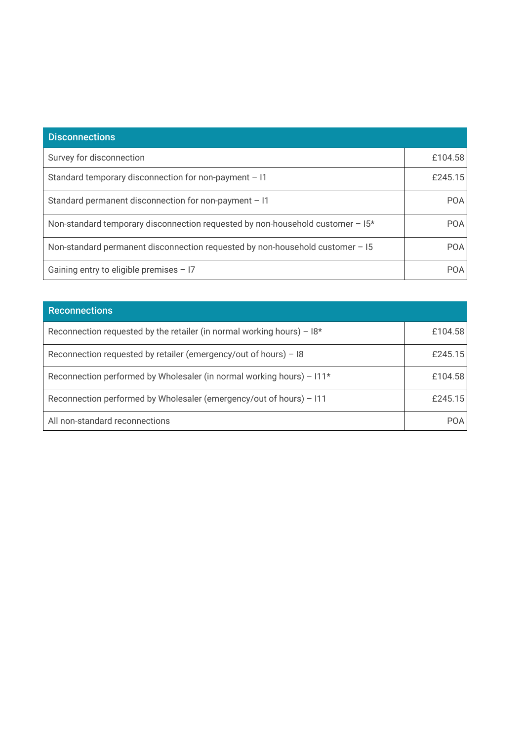| <b>Disconnections</b>                                                          |            |
|--------------------------------------------------------------------------------|------------|
| Survey for disconnection                                                       | £104.58    |
| Standard temporary disconnection for non-payment - I1                          | £245.15    |
| Standard permanent disconnection for non-payment $-11$                         | <b>POA</b> |
| Non-standard temporary disconnection requested by non-household customer - 15* | <b>POA</b> |
| Non-standard permanent disconnection requested by non-household customer - 15  | <b>POA</b> |
| Gaining entry to eligible premises $-17$                                       | <b>POA</b> |

| <b>Reconnections</b>                                                     |         |
|--------------------------------------------------------------------------|---------|
| Reconnection requested by the retailer (in normal working hours) – $18*$ | £104.58 |
| Reconnection requested by retailer (emergency/out of hours) - 18         | £245.15 |
| Reconnection performed by Wholesaler (in normal working hours) - I11*    | £104.58 |
| Reconnection performed by Wholesaler (emergency/out of hours) - I11      | £245.15 |
| All non-standard reconnections                                           | POA     |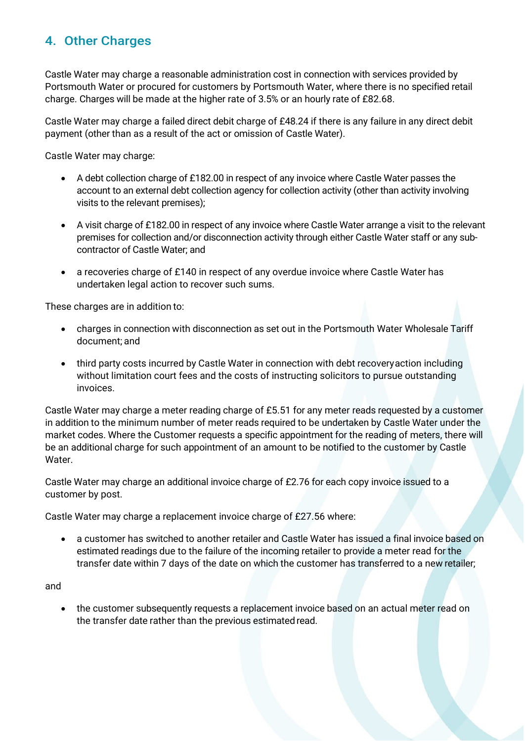### 4. Other Charges

Castle Water may charge a reasonable administration cost in connection with services provided by Portsmouth Water or procured for customers by Portsmouth Water, where there is no specified retail charge. Charges will be made at the higher rate of 3.5% or an hourly rate of £82.68.

Castle Water may charge a failed direct debit charge of £48.24 if there is any failure in any direct debit payment (other than as a result of the act or omission of Castle Water).

Castle Water may charge:

- A debt collection charge of £182.00 in respect of any invoice where Castle Water passes the account to an external debt collection agency for collection activity (other than activity involving visits to the relevant premises);
- A visit charge of £182.00 in respect of any invoice where Castle Water arrange a visit to the relevant premises for collection and/or disconnection activity through either Castle Water staff or any subcontractor of Castle Water; and
- a recoveries charge of £140 in respect of any overdue invoice where Castle Water has undertaken legal action to recover such sums.

These charges are in addition to:

- charges in connection with disconnection as set out in the Portsmouth Water Wholesale Tariff document; and
- third party costs incurred by Castle Water in connection with debt recoveryaction including without limitation court fees and the costs of instructing solicitors to pursue outstanding invoices.

Castle Water may charge a meter reading charge of £5.51 for any meter reads requested by a customer in addition to the minimum number of meter reads required to be undertaken by Castle Water under the market codes. Where the Customer requests a specific appointment for the reading of meters, there will be an additional charge for such appointment of an amount to be notified to the customer by Castle Water.

Castle Water may charge an additional invoice charge of £2.76 for each copy invoice issued to a customer by post.

Castle Water may charge a replacement invoice charge of £27.56 where:

• a customer has switched to another retailer and Castle Water has issued a final invoice based on estimated readings due to the failure of the incoming retailer to provide a meter read for the transfer date within 7 days of the date on which the customer has transferred to a new retailer;

and

• the customer subsequently requests a replacement invoice based on an actual meter read on the transfer date rather than the previous estimated read.